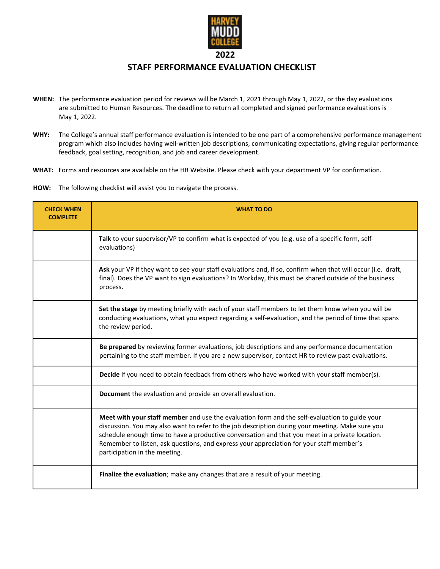

## **STAFF PERFORMANCE EVALUATION CHECKLIST**

- **WHEN:** The performance evaluation period for reviews will be March 1, 2021 through May 1, 2022, or the day evaluations are submitted to Human Resources. The deadline to return all completed and signed performance evaluations is May 1, 2022.
- **WHY:** The College's annual staff performance evaluation is intended to be one part of a comprehensive performance management program which also includes having well-written job descriptions, communicating expectations, giving regular performance feedback, goal setting, recognition, and job and career development.
- **WHAT:** Forms and resources are available on the HR Website. Please check with your department VP for confirmation.
- **HOW:** The following checklist will assist you to navigate the process.

| <b>CHECK WHEN</b><br><b>COMPLETE</b> | <b>WHAT TO DO</b>                                                                                                                                                                                                                                                                                                                                                                                                                 |
|--------------------------------------|-----------------------------------------------------------------------------------------------------------------------------------------------------------------------------------------------------------------------------------------------------------------------------------------------------------------------------------------------------------------------------------------------------------------------------------|
|                                      | Talk to your supervisor/VP to confirm what is expected of you (e.g. use of a specific form, self-<br>evaluations)                                                                                                                                                                                                                                                                                                                 |
|                                      | Ask your VP if they want to see your staff evaluations and, if so, confirm when that will occur (i.e. draft,<br>final). Does the VP want to sign evaluations? In Workday, this must be shared outside of the business<br>process.                                                                                                                                                                                                 |
|                                      | Set the stage by meeting briefly with each of your staff members to let them know when you will be<br>conducting evaluations, what you expect regarding a self-evaluation, and the period of time that spans<br>the review period.                                                                                                                                                                                                |
|                                      | Be prepared by reviewing former evaluations, job descriptions and any performance documentation<br>pertaining to the staff member. If you are a new supervisor, contact HR to review past evaluations.                                                                                                                                                                                                                            |
|                                      | Decide if you need to obtain feedback from others who have worked with your staff member(s).                                                                                                                                                                                                                                                                                                                                      |
|                                      | Document the evaluation and provide an overall evaluation.                                                                                                                                                                                                                                                                                                                                                                        |
|                                      | Meet with your staff member and use the evaluation form and the self-evaluation to guide your<br>discussion. You may also want to refer to the job description during your meeting. Make sure you<br>schedule enough time to have a productive conversation and that you meet in a private location.<br>Remember to listen, ask questions, and express your appreciation for your staff member's<br>participation in the meeting. |
|                                      | Finalize the evaluation; make any changes that are a result of your meeting.                                                                                                                                                                                                                                                                                                                                                      |